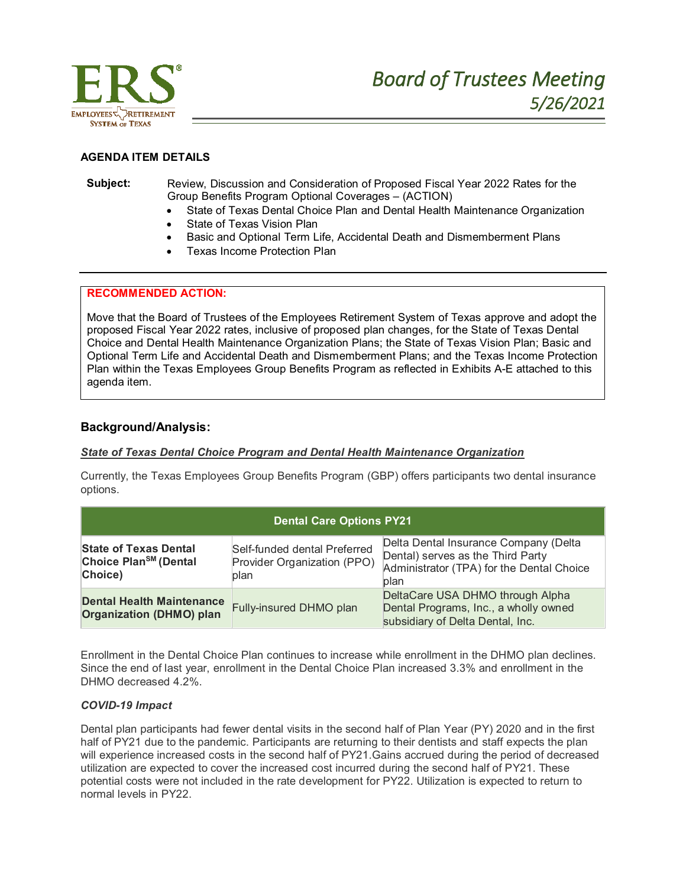

## **AGENDA ITEM DETAILS**

### **Subject:** Review, Discussion and Consideration of Proposed Fiscal Year 2022 Rates for the Group Benefits Program Optional Coverages – (ACTION)

- State of Texas Dental Choice Plan and Dental Health Maintenance Organization
- State of Texas Vision Plan
- Basic and Optional Term Life, Accidental Death and Dismemberment Plans
- Texas Income Protection Plan

## **RECOMMENDED ACTION:**

Move that the Board of Trustees of the Employees Retirement System of Texas approve and adopt the proposed Fiscal Year 2022 rates, inclusive of proposed plan changes, for the State of Texas Dental Choice and Dental Health Maintenance Organization Plans; the State of Texas Vision Plan; Basic and Optional Term Life and Accidental Death and Dismemberment Plans; and the Texas Income Protection Plan within the Texas Employees Group Benefits Program as reflected in Exhibits A-E attached to this agenda item.

## **Background/Analysis:**

## *State of Texas Dental Choice Program and Dental Health Maintenance Organization*

Currently, the Texas Employees Group Benefits Program (GBP) offers participants two dental insurance options.

| <b>Dental Care Options PY21</b>                                              |                                                                     |                                                                                                                                 |  |  |  |
|------------------------------------------------------------------------------|---------------------------------------------------------------------|---------------------------------------------------------------------------------------------------------------------------------|--|--|--|
| <b>State of Texas Dental</b><br>Choice Plan <sup>SM</sup> (Dental<br>Choice) | Self-funded dental Preferred<br>Provider Organization (PPO)<br>plan | Delta Dental Insurance Company (Delta<br>Dental) serves as the Third Party<br>Administrator (TPA) for the Dental Choice<br>plan |  |  |  |
| <b>Dental Health Maintenance</b><br><b>Organization (DHMO) plan</b>          | Fully-insured DHMO plan                                             | DeltaCare USA DHMO through Alpha<br>Dental Programs, Inc., a wholly owned<br>subsidiary of Delta Dental, Inc.                   |  |  |  |

Enrollment in the Dental Choice Plan continues to increase while enrollment in the DHMO plan declines. Since the end of last year, enrollment in the Dental Choice Plan increased 3.3% and enrollment in the DHMO decreased 4.2%.

## *COVID-19 Impact*

Dental plan participants had fewer dental visits in the second half of Plan Year (PY) 2020 and in the first half of PY21 due to the pandemic. Participants are returning to their dentists and staff expects the plan will experience increased costs in the second half of PY21.Gains accrued during the period of decreased utilization are expected to cover the increased cost incurred during the second half of PY21. These potential costs were not included in the rate development for PY22. Utilization is expected to return to normal levels in PY22.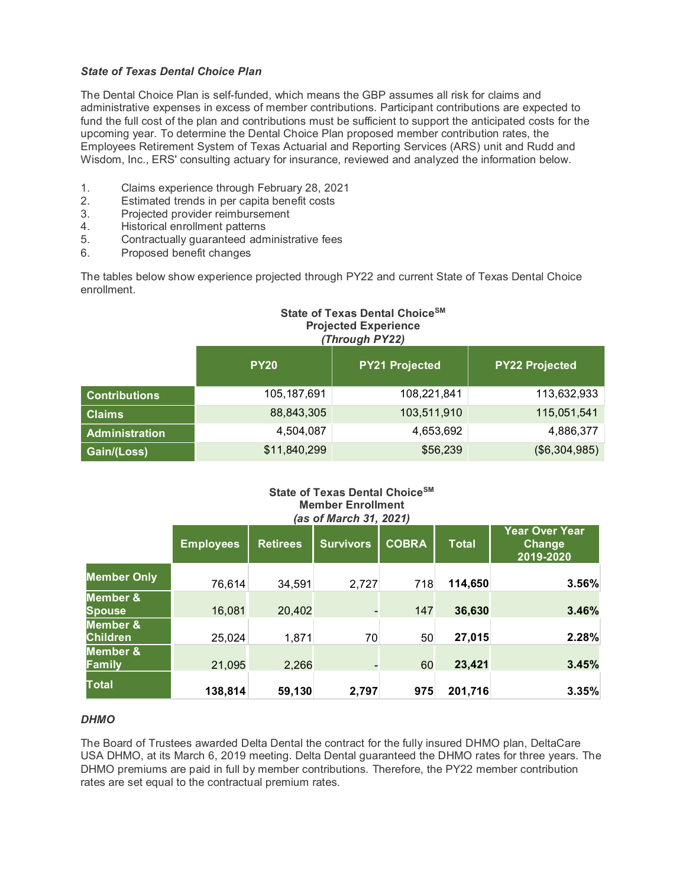## *State of Texas Dental Choice Plan*

The Dental Choice Plan is self-funded, which means the GBP assumes all risk for claims and administrative expenses in excess of member contributions. Participant contributions are expected to fund the full cost of the plan and contributions must be sufficient to support the anticipated costs for the upcoming year. To determine the Dental Choice Plan proposed member contribution rates, the Employees Retirement System of Texas Actuarial and Reporting Services (ARS) unit and Rudd and Wisdom, Inc., ERS' consulting actuary for insurance, reviewed and analyzed the information below.

- 1. Claims experience through February 28, 2021
- 2. Estimated trends in per capita benefit costs
- 3. Projected provider reimbursement
- 4. Historical enrollment patterns
- 5. Contractually guaranteed administrative fees
- 6. Proposed benefit changes

The tables below show experience projected through PY22 and current State of Texas Dental Choice enrollment.

# **State of Texas Dental ChoiceSM Projected Experience** *(Through PY22)*

|                       | <b>PY20</b>   | <b>PY21 Projected</b> | <b>PY22 Projected</b> |
|-----------------------|---------------|-----------------------|-----------------------|
| <b>Contributions</b>  | 105, 187, 691 | 108,221,841           | 113,632,933           |
| <b>Claims</b>         | 88,843,305    | 103,511,910           | 115,051,541           |
| <b>Administration</b> | 4,504,087     | 4,653,692             | 4,886,377             |
| Gain/(Loss)           | \$11,840,299  | \$56,239              | ( \$6,304,985)        |

## **State of Texas Dental ChoiceSM Member Enrollment** *(as of March 31, 2021)*

|                             | <b>Employees</b> | <b>Retirees</b> | <b>Survivors</b>         | <b>COBRA</b> | <b>Total</b> | <b>Year Over Year</b><br><b>Change</b><br>2019-2020 |
|-----------------------------|------------------|-----------------|--------------------------|--------------|--------------|-----------------------------------------------------|
| <b>Member Only</b>          | 76,614           | 34,591          | 2,727                    | 718          | 114,650      | 3.56%                                               |
| Member &<br>Spouse          | 16,081           | 20,402          | $\overline{\phantom{a}}$ | 147          | 36,630       | 3.46%                                               |
| Member &<br><b>Children</b> | 25,024           | 1,871           | 70                       | 50           | 27,015       | 2.28%                                               |
| Member &<br><b>Family</b>   | 21,095           | 2,266           | $\overline{\phantom{a}}$ | 60           | 23,421       | 3.45%                                               |
| <b>Total</b>                | 138,814          | 59,130          | 2,797                    | 975          | 201,716      | 3.35%                                               |

## *DHMO*

The Board of Trustees awarded Delta Dental the contract for the fully insured DHMO plan, DeltaCare USA DHMO, at its March 6, 2019 meeting. Delta Dental guaranteed the DHMO rates for three years. The DHMO premiums are paid in full by member contributions. Therefore, the PY22 member contribution rates are set equal to the contractual premium rates.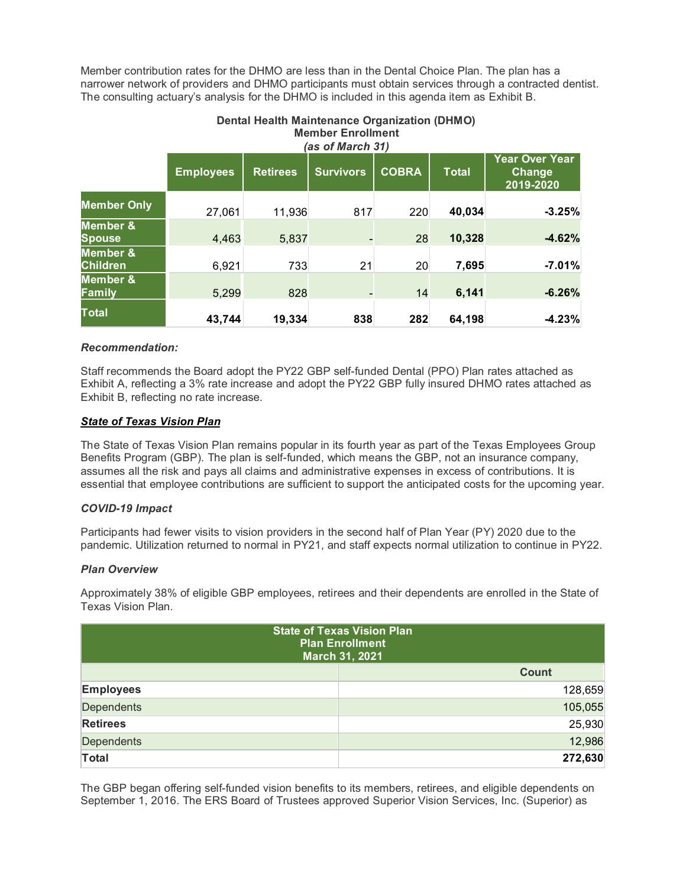Member contribution rates for the DHMO are less than in the Dental Choice Plan. The plan has a narrower network of providers and DHMO participants must obtain services through a contracted dentist. The consulting actuary's analysis for the DHMO is included in this agenda item as Exhibit B.

|                                        | <b>Member Enrollment</b><br>(as of March 31) |                 |                  |              |              |                                              |
|----------------------------------------|----------------------------------------------|-----------------|------------------|--------------|--------------|----------------------------------------------|
|                                        | <b>Employees</b>                             | <b>Retirees</b> | <b>Survivors</b> | <b>COBRA</b> | <b>Total</b> | <b>Year Over Year</b><br>Change<br>2019-2020 |
| <b>Member Only</b>                     | 27,061                                       | 11,936          | 817              | 220          | 40,034       | $-3.25%$                                     |
| <b>Member &amp;</b><br><b>Spouse</b>   | 4,463                                        | 5,837           |                  | 28           | 10,328       | $-4.62%$                                     |
| <b>Member &amp;</b><br><b>Children</b> | 6,921                                        | 733             | 21               | 20           | 7,695        | $-7.01%$                                     |
| <b>Member &amp;</b><br>Family          | 5,299                                        | 828             |                  | 14           | 6,141        | $-6.26%$                                     |
| Total                                  | 43,744                                       | 19,334          | 838              | 282          | 64,198       | $-4.23%$                                     |

# **Dental Health Maintenance Organization (DHMO) Member Enrollment**

## *Recommendation:*

Staff recommends the Board adopt the PY22 GBP self-funded Dental (PPO) Plan rates attached as Exhibit A, reflecting a 3% rate increase and adopt the PY22 GBP fully insured DHMO rates attached as Exhibit B, reflecting no rate increase.

## *State of Texas Vision Plan*

The State of Texas Vision Plan remains popular in its fourth year as part of the Texas Employees Group Benefits Program (GBP). The plan is self-funded, which means the GBP, not an insurance company, assumes all the risk and pays all claims and administrative expenses in excess of contributions. It is essential that employee contributions are sufficient to support the anticipated costs for the upcoming year.

## *COVID-19 Impact*

Participants had fewer visits to vision providers in the second half of Plan Year (PY) 2020 due to the pandemic. Utilization returned to normal in PY21, and staff expects normal utilization to continue in PY22.

## *Plan Overview*

Approximately 38% of eligible GBP employees, retirees and their dependents are enrolled in the State of Texas Vision Plan.

| <b>State of Texas Vision Plan</b><br><b>Plan Enrollment</b><br>March 31, 2021 |  |              |  |
|-------------------------------------------------------------------------------|--|--------------|--|
|                                                                               |  | <b>Count</b> |  |
| <b>Employees</b>                                                              |  | 128,659      |  |
| <b>Dependents</b>                                                             |  | 105,055      |  |
| <b>Retirees</b>                                                               |  | 25,930       |  |
| <b>Dependents</b>                                                             |  | 12,986       |  |
| <b>Total</b>                                                                  |  | 272,630      |  |

The GBP began offering self-funded vision benefits to its members, retirees, and eligible dependents on September 1, 2016. The ERS Board of Trustees approved Superior Vision Services, Inc. (Superior) as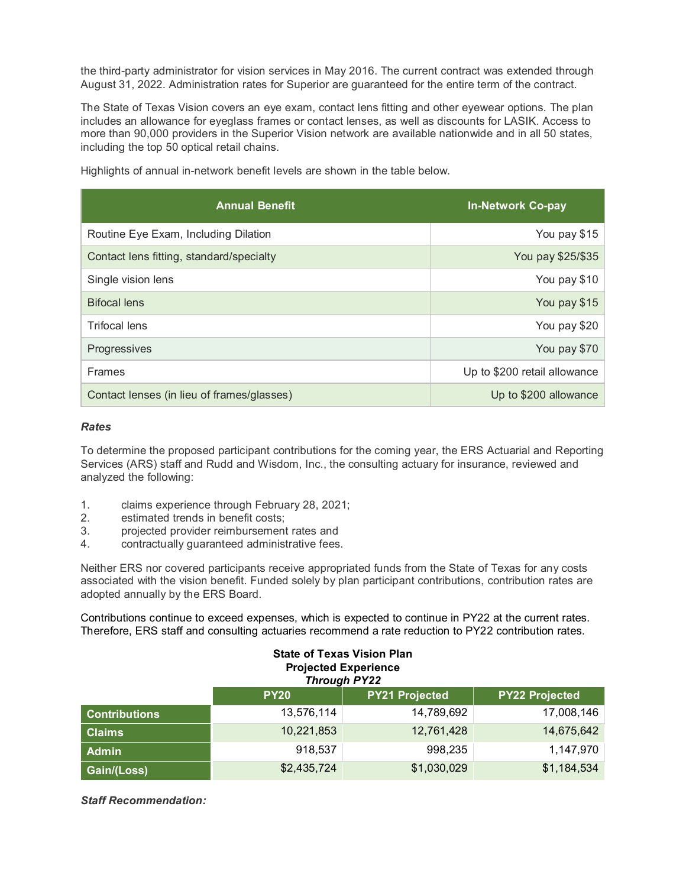the third-party administrator for vision services in May 2016. The current contract was extended through August 31, 2022. Administration rates for Superior are guaranteed for the entire term of the contract.

The State of Texas Vision covers an eye exam, contact lens fitting and other eyewear options. The plan includes an allowance for eyeglass frames or contact lenses, as well as discounts for LASIK. Access to more than 90,000 providers in the Superior Vision network are available nationwide and in all 50 states, including the top 50 optical retail chains.

| <b>Annual Benefit</b>                      | <b>In-Network Co-pay</b>     |
|--------------------------------------------|------------------------------|
| Routine Eye Exam, Including Dilation       | You pay \$15                 |
| Contact lens fitting, standard/specialty   | You pay \$25/\$35            |
| Single vision lens                         | You pay \$10                 |
| <b>Bifocal lens</b>                        | You pay \$15                 |
| Trifocal lens                              | You pay \$20                 |
| Progressives                               | You pay \$70                 |
| <b>Frames</b>                              | Up to \$200 retail allowance |
| Contact lenses (in lieu of frames/glasses) | Up to \$200 allowance        |

Highlights of annual in-network benefit levels are shown in the table below.

#### *Rates*

To determine the proposed participant contributions for the coming year, the ERS Actuarial and Reporting Services (ARS) staff and Rudd and Wisdom, Inc., the consulting actuary for insurance, reviewed and analyzed the following:

- 1. claims experience through February 28, 2021;
- 2. estimated trends in benefit costs;
- 3. projected provider reimbursement rates and
- 4. contractually guaranteed administrative fees.

Neither ERS nor covered participants receive appropriated funds from the State of Texas for any costs associated with the vision benefit. Funded solely by plan participant contributions, contribution rates are adopted annually by the ERS Board.

Contributions continue to exceed expenses, which is expected to continue in PY22 at the current rates. Therefore, ERS staff and consulting actuaries recommend a rate reduction to PY22 contribution rates.

| <b>State of Texas Vision Plan</b><br><b>Projected Experience</b><br><b>Through PY22</b> |             |             |             |  |  |  |  |
|-----------------------------------------------------------------------------------------|-------------|-------------|-------------|--|--|--|--|
| <b>PY21 Projected</b><br><b>PY22 Projected</b><br><b>PY20</b>                           |             |             |             |  |  |  |  |
| <b>Contributions</b>                                                                    | 13,576,114  | 14,789,692  | 17,008,146  |  |  |  |  |
| <b>Claims</b>                                                                           | 10,221,853  | 12,761,428  | 14,675,642  |  |  |  |  |
| <b>Admin</b>                                                                            | 918,537     | 998,235     | 1,147,970   |  |  |  |  |
| Gain/(Loss)                                                                             | \$2,435,724 | \$1,030,029 | \$1,184,534 |  |  |  |  |

*Staff Recommendation:*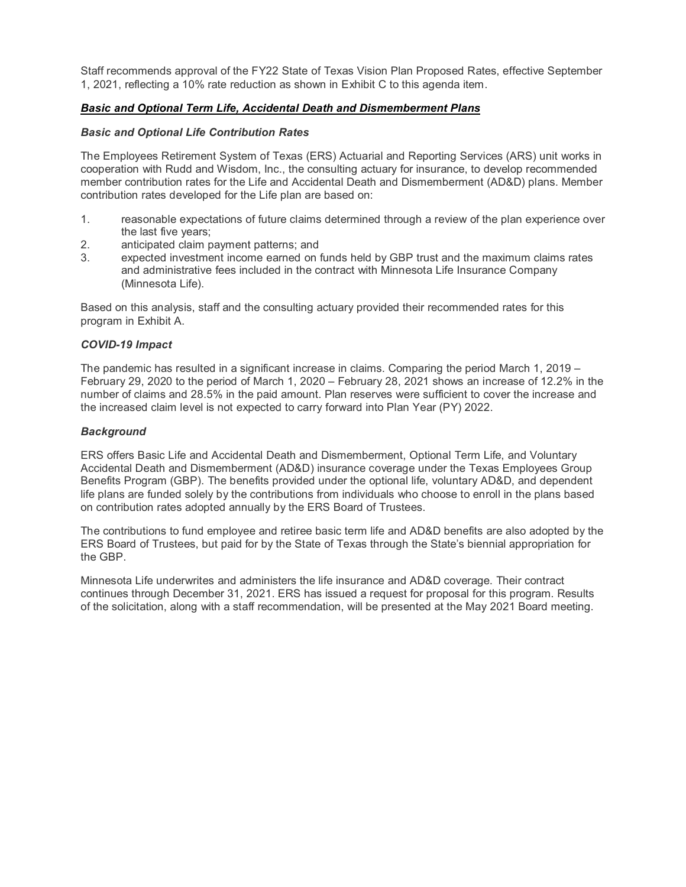Staff recommends approval of the FY22 State of Texas Vision Plan Proposed Rates, effective September 1, 2021, reflecting a 10% rate reduction as shown in Exhibit C to this agenda item.

## *Basic and Optional Term Life, Accidental Death and Dismemberment Plans*

## *Basic and Optional Life Contribution Rates*

The Employees Retirement System of Texas (ERS) Actuarial and Reporting Services (ARS) unit works in cooperation with Rudd and Wisdom, Inc., the consulting actuary for insurance, to develop recommended member contribution rates for the Life and Accidental Death and Dismemberment (AD&D) plans. Member contribution rates developed for the Life plan are based on:

- 1. reasonable expectations of future claims determined through a review of the plan experience over the last five years;
- 2. anticipated claim payment patterns; and
- 3. expected investment income earned on funds held by GBP trust and the maximum claims rates and administrative fees included in the contract with Minnesota Life Insurance Company (Minnesota Life).

Based on this analysis, staff and the consulting actuary provided their recommended rates for this program in Exhibit A.

## *COVID-19 Impact*

The pandemic has resulted in a significant increase in claims. Comparing the period March 1, 2019 – February 29, 2020 to the period of March 1, 2020 – February 28, 2021 shows an increase of 12.2% in the number of claims and 28.5% in the paid amount. Plan reserves were sufficient to cover the increase and the increased claim level is not expected to carry forward into Plan Year (PY) 2022.

## *Background*

ERS offers Basic Life and Accidental Death and Dismemberment, Optional Term Life, and Voluntary Accidental Death and Dismemberment (AD&D) insurance coverage under the Texas Employees Group Benefits Program (GBP). The benefits provided under the optional life, voluntary AD&D, and dependent life plans are funded solely by the contributions from individuals who choose to enroll in the plans based on contribution rates adopted annually by the ERS Board of Trustees.

The contributions to fund employee and retiree basic term life and AD&D benefits are also adopted by the ERS Board of Trustees, but paid for by the State of Texas through the State's biennial appropriation for the GBP.

Minnesota Life underwrites and administers the life insurance and AD&D coverage. Their contract continues through December 31, 2021. ERS has issued a request for proposal for this program. Results of the solicitation, along with a staff recommendation, will be presented at the May 2021 Board meeting.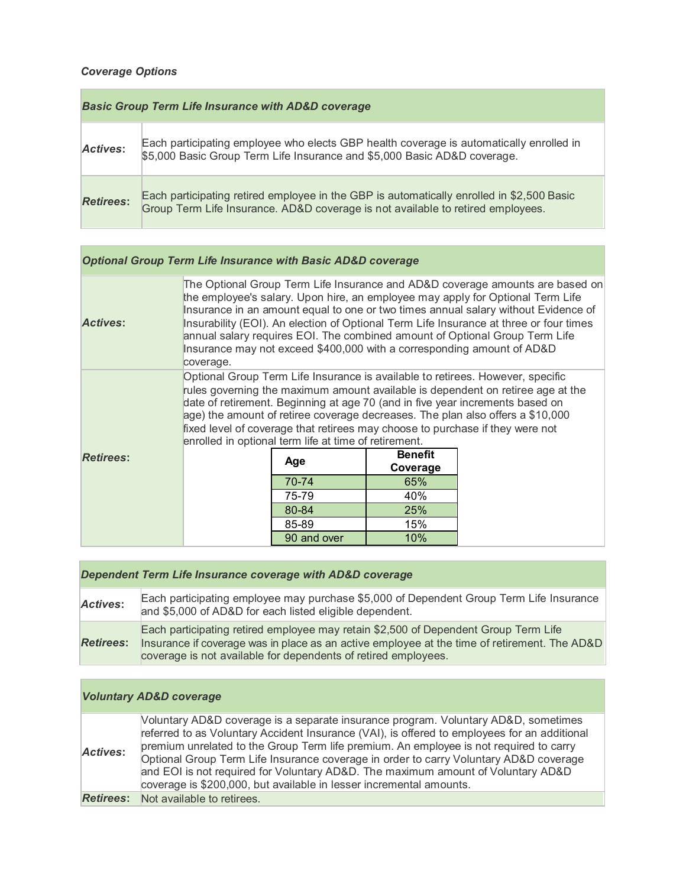# *Coverage Options*

| <b>Basic Group Term Life Insurance with AD&amp;D coverage</b> |                                                                                                                                                                              |  |  |  |
|---------------------------------------------------------------|------------------------------------------------------------------------------------------------------------------------------------------------------------------------------|--|--|--|
| Actives:                                                      | Each participating employee who elects GBP health coverage is automatically enrolled in<br>\$5,000 Basic Group Term Life Insurance and \$5,000 Basic AD&D coverage.          |  |  |  |
| <b>Retirees:</b>                                              | Each participating retired employee in the GBP is automatically enrolled in \$2,500 Basic<br>Group Term Life Insurance. AD&D coverage is not available to retired employees. |  |  |  |

# *Optional Group Term Life Insurance with Basic AD&D coverage*

| <b>Actives:</b>  | The Optional Group Term Life Insurance and AD&D coverage amounts are based on<br>the employee's salary. Upon hire, an employee may apply for Optional Term Life<br>Insurance in an amount equal to one or two times annual salary without Evidence of<br>Insurability (EOI). An election of Optional Term Life Insurance at three or four times<br>annual salary requires EOI. The combined amount of Optional Group Term Life<br>Insurance may not exceed \$400,000 with a corresponding amount of AD&D<br>coverage. |                                                                                                                                        |                |  |  |  |
|------------------|-----------------------------------------------------------------------------------------------------------------------------------------------------------------------------------------------------------------------------------------------------------------------------------------------------------------------------------------------------------------------------------------------------------------------------------------------------------------------------------------------------------------------|----------------------------------------------------------------------------------------------------------------------------------------|----------------|--|--|--|
|                  | Optional Group Term Life Insurance is available to retirees. However, specific<br>rules governing the maximum amount available is dependent on retiree age at the<br>date of retirement. Beginning at age 70 (and in five year increments based on<br>age) the amount of retiree coverage decreases. The plan also offers a \$10,000                                                                                                                                                                                  |                                                                                                                                        |                |  |  |  |
|                  |                                                                                                                                                                                                                                                                                                                                                                                                                                                                                                                       | fixed level of coverage that retirees may choose to purchase if they were not<br>enrolled in optional term life at time of retirement. |                |  |  |  |
| <b>Retirees:</b> |                                                                                                                                                                                                                                                                                                                                                                                                                                                                                                                       |                                                                                                                                        | <b>Benefit</b> |  |  |  |
|                  |                                                                                                                                                                                                                                                                                                                                                                                                                                                                                                                       | Age                                                                                                                                    | Coverage       |  |  |  |
|                  |                                                                                                                                                                                                                                                                                                                                                                                                                                                                                                                       | 70-74                                                                                                                                  | 65%            |  |  |  |
|                  |                                                                                                                                                                                                                                                                                                                                                                                                                                                                                                                       | 75-79                                                                                                                                  | 40%            |  |  |  |
|                  |                                                                                                                                                                                                                                                                                                                                                                                                                                                                                                                       | 80-84                                                                                                                                  | <b>25%</b>     |  |  |  |
|                  |                                                                                                                                                                                                                                                                                                                                                                                                                                                                                                                       | 85-89                                                                                                                                  | 15%            |  |  |  |
|                  |                                                                                                                                                                                                                                                                                                                                                                                                                                                                                                                       | 90 and over                                                                                                                            | 10%            |  |  |  |

| Each participating employee may purchase \$5,000 of Dependent Group Term Life Insurance<br><b>Actives:</b><br>and \$5,000 of AD&D for each listed eligible dependent.                                                                                                     | Dependent Term Life Insurance coverage with AD&D coverage |  |  |  |  |
|---------------------------------------------------------------------------------------------------------------------------------------------------------------------------------------------------------------------------------------------------------------------------|-----------------------------------------------------------|--|--|--|--|
|                                                                                                                                                                                                                                                                           |                                                           |  |  |  |  |
| Each participating retired employee may retain \$2,500 of Dependent Group Term Life<br>Insurance if coverage was in place as an active employee at the time of retirement. The AD&D<br><b>Retirees:</b><br>coverage is not available for dependents of retired employees. |                                                           |  |  |  |  |

# *Voluntary AD&D coverage*

|                 | Voluntary AD&D coverage is a separate insurance program. Voluntary AD&D, sometimes           |
|-----------------|----------------------------------------------------------------------------------------------|
|                 | referred to as Voluntary Accident Insurance (VAI), is offered to employees for an additional |
| <b>Actives:</b> | premium unrelated to the Group Term life premium. An employee is not required to carry       |
|                 | Optional Group Term Life Insurance coverage in order to carry Voluntary AD&D coverage        |
|                 | and EOI is not required for Voluntary AD&D. The maximum amount of Voluntary AD&D             |
|                 | coverage is \$200,000, but available in lesser incremental amounts.                          |
|                 | <b>Retirees:</b> Not available to retirees.                                                  |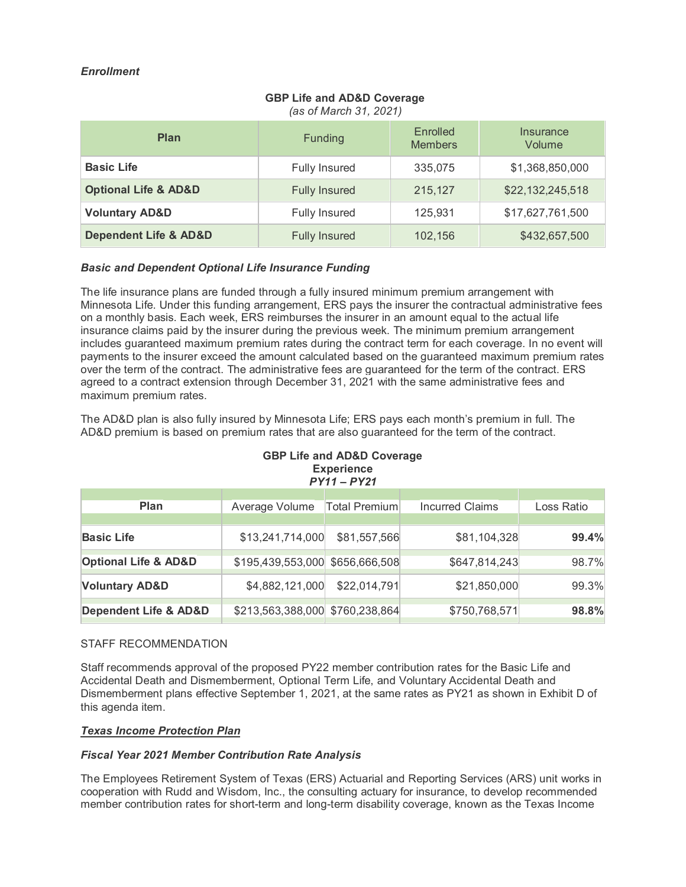# *Enrollment*

# **GBP Life and AD&D Coverage**

*(as of March 31, 2021)*

| <b>Plan</b>                          | <b>Funding</b>       | Enrolled<br><b>Members</b> | Insurance<br>Volume |
|--------------------------------------|----------------------|----------------------------|---------------------|
| <b>Basic Life</b>                    | <b>Fully Insured</b> | 335,075                    | \$1,368,850,000     |
| <b>Optional Life &amp; AD&amp;D</b>  | <b>Fully Insured</b> | 215.127                    | \$22,132,245,518    |
| <b>Voluntary AD&amp;D</b>            | <b>Fully Insured</b> | 125,931                    | \$17,627,761,500    |
| <b>Dependent Life &amp; AD&amp;D</b> | <b>Fully Insured</b> | 102,156                    | \$432,657,500       |

## *Basic and Dependent Optional Life Insurance Funding*

The life insurance plans are funded through a fully insured minimum premium arrangement with Minnesota Life. Under this funding arrangement, ERS pays the insurer the contractual administrative fees on a monthly basis. Each week, ERS reimburses the insurer in an amount equal to the actual life insurance claims paid by the insurer during the previous week. The minimum premium arrangement includes guaranteed maximum premium rates during the contract term for each coverage. In no event will payments to the insurer exceed the amount calculated based on the guaranteed maximum premium rates over the term of the contract. The administrative fees are guaranteed for the term of the contract. ERS agreed to a contract extension through December 31, 2021 with the same administrative fees and maximum premium rates.

The AD&D plan is also fully insured by Minnesota Life; ERS pays each month's premium in full. The AD&D premium is based on premium rates that are also guaranteed for the term of the contract.

| ODE LIJE AIJU ADOD COVETAJE<br><b>Experience</b><br>$PY11 - PY21$ |                                 |               |                 |            |  |  |  |
|-------------------------------------------------------------------|---------------------------------|---------------|-----------------|------------|--|--|--|
| <b>Plan</b>                                                       | Average Volume                  | Total Premium | Incurred Claims | Loss Ratio |  |  |  |
|                                                                   |                                 |               |                 |            |  |  |  |
| <b>Basic Life</b>                                                 | \$13,241,714,000                | \$81,557,566  | \$81,104,328    | 99.4%      |  |  |  |
| <b>Optional Life &amp; AD&amp;D</b>                               | \$195,439,553,000 \$656,666,508 |               | \$647,814,243   | 98.7%      |  |  |  |
| <b>Voluntary AD&amp;D</b>                                         | \$4,882,121,000                 | \$22,014,791  | \$21,850,000    | 99.3%      |  |  |  |
| <b>Dependent Life &amp; AD&amp;D</b>                              | \$213,563,388,000 \$760,238,864 |               | \$750,768,571   | 98.8%      |  |  |  |

# **GBP Life and AD&D Coverage**

# STAFF RECOMMENDATION

Staff recommends approval of the proposed PY22 member contribution rates for the Basic Life and Accidental Death and Dismemberment, Optional Term Life, and Voluntary Accidental Death and Dismemberment plans effective September 1, 2021, at the same rates as PY21 as shown in Exhibit D of this agenda item.

## *Texas Income Protection Plan*

## *Fiscal Year 2021 Member Contribution Rate Analysis*

The Employees Retirement System of Texas (ERS) Actuarial and Reporting Services (ARS) unit works in cooperation with Rudd and Wisdom, Inc., the consulting actuary for insurance, to develop recommended member contribution rates for short-term and long-term disability coverage, known as the Texas Income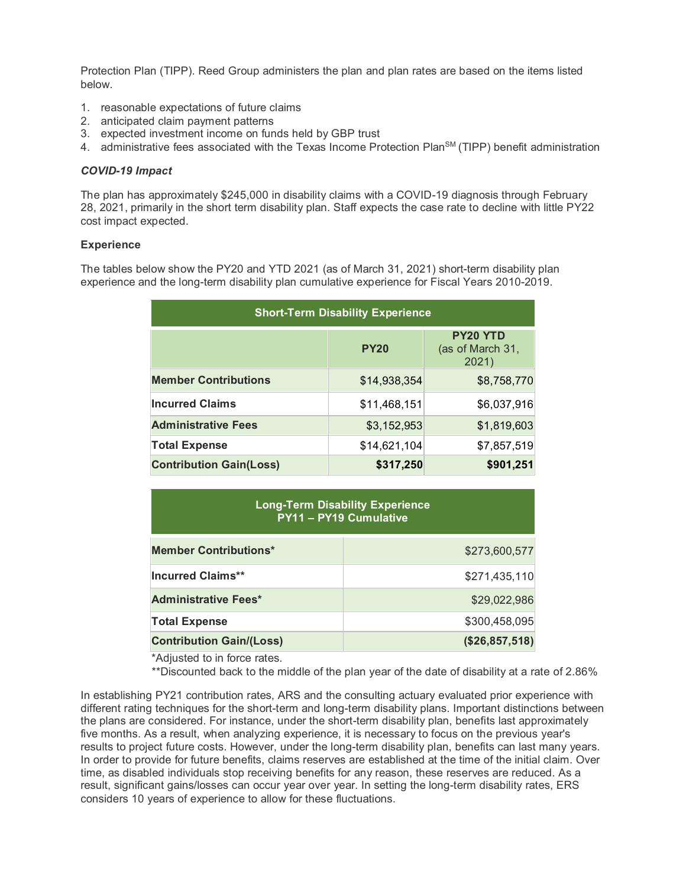Protection Plan (TIPP). Reed Group administers the plan and plan rates are based on the items listed below.

- 1. reasonable expectations of future claims
- 2. anticipated claim payment patterns
- 3. expected investment income on funds held by GBP trust
- 4. administrative fees associated with the Texas Income Protection Plan<sup>SM</sup> (TIPP) benefit administration

#### *COVID-19 Impact*

The plan has approximately \$245,000 in disability claims with a COVID-19 diagnosis through February 28, 2021, primarily in the short term disability plan. Staff expects the case rate to decline with little PY22 cost impact expected.

#### **Experience**

The tables below show the PY20 and YTD 2021 (as of March 31, 2021) short-term disability plan experience and the long-term disability plan cumulative experience for Fiscal Years 2010-2019.

| <b>Short-Term Disability Experience</b> |              |                                              |  |  |
|-----------------------------------------|--------------|----------------------------------------------|--|--|
|                                         | <b>PY20</b>  | <b>PY20 YTD</b><br>(as of March 31,<br>2021) |  |  |
| <b>Member Contributions</b>             | \$14,938,354 | \$8,758,770                                  |  |  |
| <b>Incurred Claims</b>                  | \$11,468,151 | \$6,037,916                                  |  |  |
| <b>Administrative Fees</b>              | \$3,152,953  | \$1,819,603                                  |  |  |
| <b>Total Expense</b>                    | \$14,621,104 | \$7,857,519                                  |  |  |
| <b>Contribution Gain(Loss)</b>          | \$317,250    | \$901,251                                    |  |  |

# **Long-Term Disability Experience PY11 – PY19 Cumulative**

| <b>Member Contributions*</b>    | \$273,600,577  |
|---------------------------------|----------------|
| <b>Incurred Claims**</b>        | \$271,435,110  |
| <b>Administrative Fees*</b>     | \$29,022,986   |
| <b>Total Expense</b>            | \$300,458,095  |
| <b>Contribution Gain/(Loss)</b> | (\$26,857,518) |

\*Adjusted to in force rates.

\*\*Discounted back to the middle of the plan year of the date of disability at a rate of 2.86%

In establishing PY21 contribution rates, ARS and the consulting actuary evaluated prior experience with different rating techniques for the short-term and long-term disability plans. Important distinctions between the plans are considered. For instance, under the short-term disability plan, benefits last approximately five months. As a result, when analyzing experience, it is necessary to focus on the previous year's results to project future costs. However, under the long-term disability plan, benefits can last many years. In order to provide for future benefits, claims reserves are established at the time of the initial claim. Over time, as disabled individuals stop receiving benefits for any reason, these reserves are reduced. As a result, significant gains/losses can occur year over year. In setting the long-term disability rates, ERS considers 10 years of experience to allow for these fluctuations.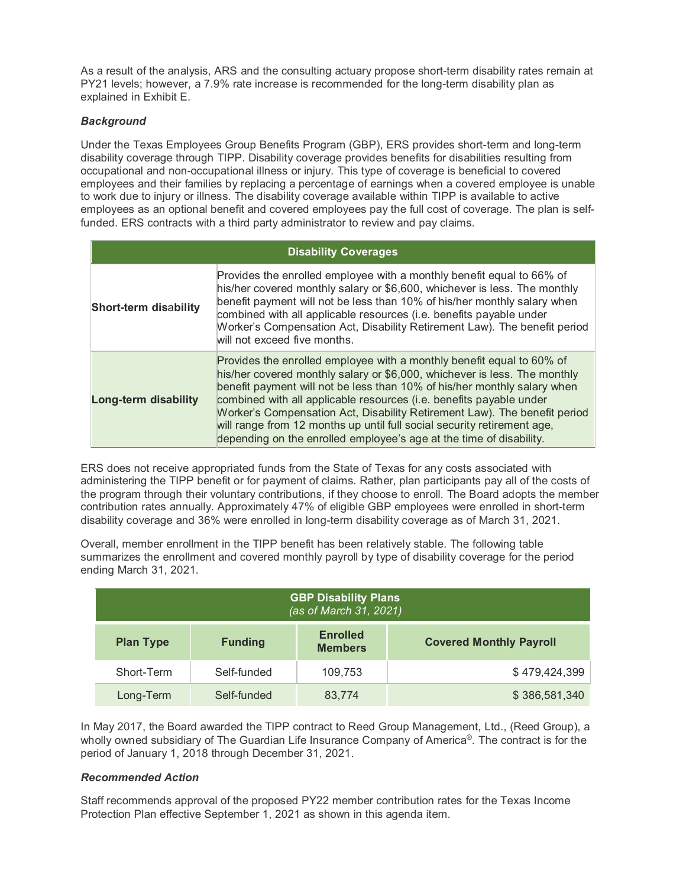As a result of the analysis, ARS and the consulting actuary propose short-term disability rates remain at PY21 levels; however, a 7.9% rate increase is recommended for the long-term disability plan as explained in Exhibit E.

## *Background*

Under the Texas Employees Group Benefits Program (GBP), ERS provides short-term and long-term disability coverage through TIPP. Disability coverage provides benefits for disabilities resulting from occupational and non-occupational illness or injury. This type of coverage is beneficial to covered employees and their families by replacing a percentage of earnings when a covered employee is unable to work due to injury or illness. The disability coverage available within TIPP is available to active employees as an optional benefit and covered employees pay the full cost of coverage. The plan is selffunded. ERS contracts with a third party administrator to review and pay claims.

| <b>Disability Coverages</b>  |                                                                                                                                                                                                                                                                                                                                                                                                                                                                                                                                      |  |  |  |
|------------------------------|--------------------------------------------------------------------------------------------------------------------------------------------------------------------------------------------------------------------------------------------------------------------------------------------------------------------------------------------------------------------------------------------------------------------------------------------------------------------------------------------------------------------------------------|--|--|--|
| <b>Short-term disability</b> | Provides the enrolled employee with a monthly benefit equal to 66% of<br>his/her covered monthly salary or \$6,600, whichever is less. The monthly<br>benefit payment will not be less than 10% of his/her monthly salary when<br>combined with all applicable resources (i.e. benefits payable under<br>Worker's Compensation Act, Disability Retirement Law). The benefit period<br>will not exceed five months.                                                                                                                   |  |  |  |
| <b>Long-term disability</b>  | Provides the enrolled employee with a monthly benefit equal to 60% of<br>his/her covered monthly salary or \$6,000, whichever is less. The monthly<br>benefit payment will not be less than 10% of his/her monthly salary when<br>combined with all applicable resources (i.e. benefits payable under<br>Worker's Compensation Act, Disability Retirement Law). The benefit period<br>will range from 12 months up until full social security retirement age,<br>depending on the enrolled employee's age at the time of disability. |  |  |  |

ERS does not receive appropriated funds from the State of Texas for any costs associated with administering the TIPP benefit or for payment of claims. Rather, plan participants pay all of the costs of the program through their voluntary contributions, if they choose to enroll. The Board adopts the member contribution rates annually. Approximately 47% of eligible GBP employees were enrolled in short-term disability coverage and 36% were enrolled in long-term disability coverage as of March 31, 2021.

Overall, member enrollment in the TIPP benefit has been relatively stable. The following table summarizes the enrollment and covered monthly payroll by type of disability coverage for the period ending March 31, 2021.

| <b>GBP Disability Plans</b><br>(as of March 31, 2021) |                |                                   |                                |  |  |
|-------------------------------------------------------|----------------|-----------------------------------|--------------------------------|--|--|
| <b>Plan Type</b>                                      | <b>Funding</b> | <b>Enrolled</b><br><b>Members</b> | <b>Covered Monthly Payroll</b> |  |  |
| Short-Term                                            | Self-funded    | 109,753                           | \$479,424,399                  |  |  |
| Long-Term                                             | Self-funded    | 83,774                            | \$386,581,340                  |  |  |

In May 2017, the Board awarded the TIPP contract to Reed Group Management, Ltd., (Reed Group), a wholly owned subsidiary of The Guardian Life Insurance Company of America® . The contract is for the period of January 1, 2018 through December 31, 2021.

## *Recommended Action*

Staff recommends approval of the proposed PY22 member contribution rates for the Texas Income Protection Plan effective September 1, 2021 as shown in this agenda item.